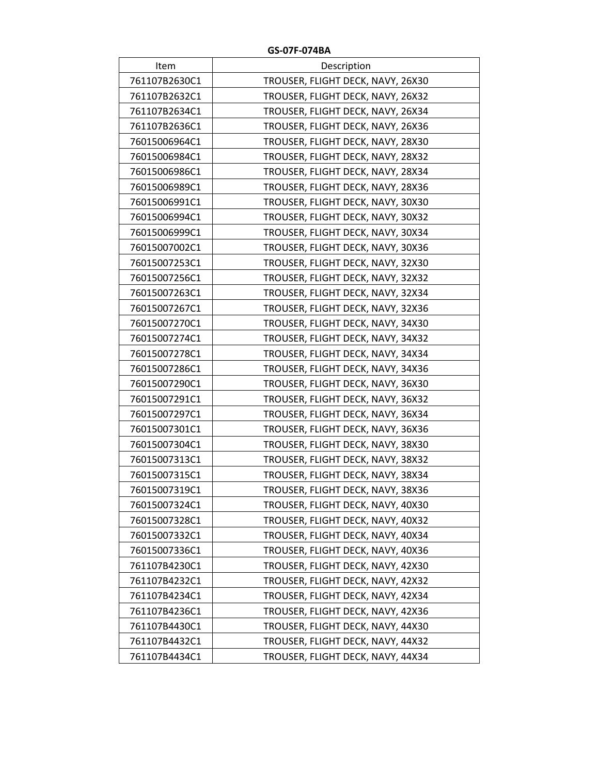| Item          | Description                       |
|---------------|-----------------------------------|
| 761107B2630C1 | TROUSER, FLIGHT DECK, NAVY, 26X30 |
| 761107B2632C1 | TROUSER, FLIGHT DECK, NAVY, 26X32 |
| 761107B2634C1 | TROUSER, FLIGHT DECK, NAVY, 26X34 |
| 761107B2636C1 | TROUSER, FLIGHT DECK, NAVY, 26X36 |
| 76015006964C1 | TROUSER, FLIGHT DECK, NAVY, 28X30 |
| 76015006984C1 | TROUSER, FLIGHT DECK, NAVY, 28X32 |
| 76015006986C1 | TROUSER, FLIGHT DECK, NAVY, 28X34 |
| 76015006989C1 | TROUSER, FLIGHT DECK, NAVY, 28X36 |
| 76015006991C1 | TROUSER, FLIGHT DECK, NAVY, 30X30 |
| 76015006994C1 | TROUSER, FLIGHT DECK, NAVY, 30X32 |
| 76015006999C1 | TROUSER, FLIGHT DECK, NAVY, 30X34 |
| 76015007002C1 | TROUSER, FLIGHT DECK, NAVY, 30X36 |
| 76015007253C1 | TROUSER, FLIGHT DECK, NAVY, 32X30 |
| 76015007256C1 | TROUSER, FLIGHT DECK, NAVY, 32X32 |
| 76015007263C1 | TROUSER, FLIGHT DECK, NAVY, 32X34 |
| 76015007267C1 | TROUSER, FLIGHT DECK, NAVY, 32X36 |
| 76015007270C1 | TROUSER, FLIGHT DECK, NAVY, 34X30 |
| 76015007274C1 | TROUSER, FLIGHT DECK, NAVY, 34X32 |
| 76015007278C1 | TROUSER, FLIGHT DECK, NAVY, 34X34 |
| 76015007286C1 | TROUSER, FLIGHT DECK, NAVY, 34X36 |
| 76015007290C1 | TROUSER, FLIGHT DECK, NAVY, 36X30 |
| 76015007291C1 | TROUSER, FLIGHT DECK, NAVY, 36X32 |
| 76015007297C1 | TROUSER, FLIGHT DECK, NAVY, 36X34 |
| 76015007301C1 | TROUSER, FLIGHT DECK, NAVY, 36X36 |
| 76015007304C1 | TROUSER, FLIGHT DECK, NAVY, 38X30 |
| 76015007313C1 | TROUSER, FLIGHT DECK, NAVY, 38X32 |
| 76015007315C1 | TROUSER, FLIGHT DECK, NAVY, 38X34 |
| 76015007319C1 | TROUSER, FLIGHT DECK, NAVY, 38X36 |
| 76015007324C1 | TROUSER, FLIGHT DECK, NAVY, 40X30 |
| 76015007328C1 | TROUSER, FLIGHT DECK, NAVY, 40X32 |
| 76015007332C1 | TROUSER, FLIGHT DECK, NAVY, 40X34 |
| 76015007336C1 | TROUSER, FLIGHT DECK, NAVY, 40X36 |
| 761107B4230C1 | TROUSER, FLIGHT DECK, NAVY, 42X30 |
| 761107B4232C1 | TROUSER, FLIGHT DECK, NAVY, 42X32 |
| 761107B4234C1 | TROUSER, FLIGHT DECK, NAVY, 42X34 |
| 761107B4236C1 | TROUSER, FLIGHT DECK, NAVY, 42X36 |
| 761107B4430C1 | TROUSER, FLIGHT DECK, NAVY, 44X30 |
| 761107B4432C1 | TROUSER, FLIGHT DECK, NAVY, 44X32 |
| 761107B4434C1 | TROUSER, FLIGHT DECK, NAVY, 44X34 |

**GS‐07F‐074BA**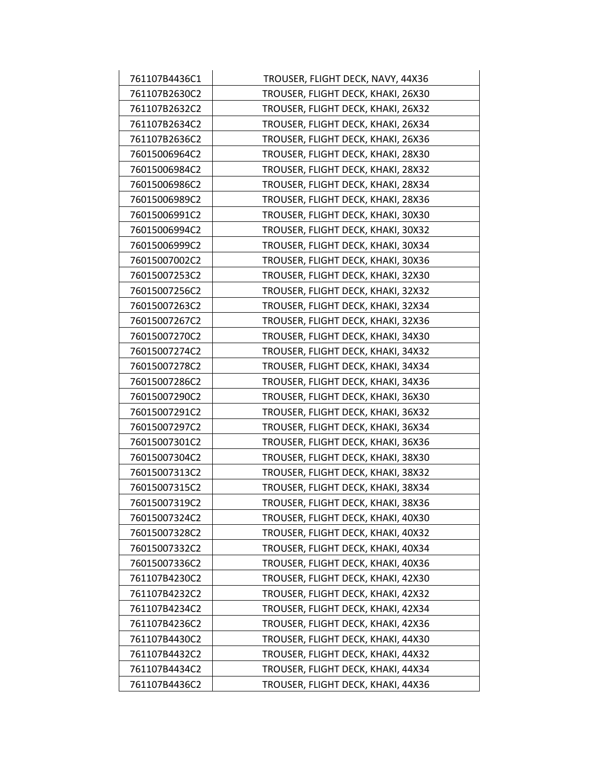| 761107B4436C1 | TROUSER, FLIGHT DECK, NAVY, 44X36  |
|---------------|------------------------------------|
| 761107B2630C2 | TROUSER, FLIGHT DECK, KHAKI, 26X30 |
| 761107B2632C2 | TROUSER, FLIGHT DECK, KHAKI, 26X32 |
| 761107B2634C2 | TROUSER, FLIGHT DECK, KHAKI, 26X34 |
| 761107B2636C2 | TROUSER, FLIGHT DECK, KHAKI, 26X36 |
| 76015006964C2 | TROUSER, FLIGHT DECK, KHAKI, 28X30 |
| 76015006984C2 | TROUSER, FLIGHT DECK, KHAKI, 28X32 |
| 76015006986C2 | TROUSER, FLIGHT DECK, KHAKI, 28X34 |
| 76015006989C2 | TROUSER, FLIGHT DECK, KHAKI, 28X36 |
| 76015006991C2 | TROUSER, FLIGHT DECK, KHAKI, 30X30 |
| 76015006994C2 | TROUSER, FLIGHT DECK, KHAKI, 30X32 |
| 76015006999C2 | TROUSER, FLIGHT DECK, KHAKI, 30X34 |
| 76015007002C2 | TROUSER, FLIGHT DECK, KHAKI, 30X36 |
| 76015007253C2 | TROUSER, FLIGHT DECK, KHAKI, 32X30 |
| 76015007256C2 | TROUSER, FLIGHT DECK, KHAKI, 32X32 |
| 76015007263C2 | TROUSER, FLIGHT DECK, KHAKI, 32X34 |
| 76015007267C2 | TROUSER, FLIGHT DECK, KHAKI, 32X36 |
| 76015007270C2 | TROUSER, FLIGHT DECK, KHAKI, 34X30 |
| 76015007274C2 | TROUSER, FLIGHT DECK, KHAKI, 34X32 |
| 76015007278C2 | TROUSER, FLIGHT DECK, KHAKI, 34X34 |
| 76015007286C2 | TROUSER, FLIGHT DECK, KHAKI, 34X36 |
| 76015007290C2 | TROUSER, FLIGHT DECK, KHAKI, 36X30 |
| 76015007291C2 | TROUSER, FLIGHT DECK, KHAKI, 36X32 |
| 76015007297C2 | TROUSER, FLIGHT DECK, KHAKI, 36X34 |
| 76015007301C2 | TROUSER, FLIGHT DECK, KHAKI, 36X36 |
| 76015007304C2 | TROUSER, FLIGHT DECK, KHAKI, 38X30 |
| 76015007313C2 | TROUSER, FLIGHT DECK, KHAKI, 38X32 |
| 76015007315C2 | TROUSER, FLIGHT DECK, KHAKI, 38X34 |
| 76015007319C2 | TROUSER, FLIGHT DECK, KHAKI, 38X36 |
| 76015007324C2 | TROUSER, FLIGHT DECK, KHAKI, 40X30 |
| 76015007328C2 | TROUSER, FLIGHT DECK, KHAKI, 40X32 |
| 76015007332C2 | TROUSER, FLIGHT DECK, KHAKI, 40X34 |
| 76015007336C2 | TROUSER, FLIGHT DECK, KHAKI, 40X36 |
| 761107B4230C2 | TROUSER, FLIGHT DECK, KHAKI, 42X30 |
| 761107B4232C2 | TROUSER, FLIGHT DECK, KHAKI, 42X32 |
| 761107B4234C2 | TROUSER, FLIGHT DECK, KHAKI, 42X34 |
| 761107B4236C2 | TROUSER, FLIGHT DECK, KHAKI, 42X36 |
| 761107B4430C2 | TROUSER, FLIGHT DECK, KHAKI, 44X30 |
| 761107B4432C2 | TROUSER, FLIGHT DECK, KHAKI, 44X32 |
| 761107B4434C2 | TROUSER, FLIGHT DECK, KHAKI, 44X34 |
| 761107B4436C2 | TROUSER, FLIGHT DECK, KHAKI, 44X36 |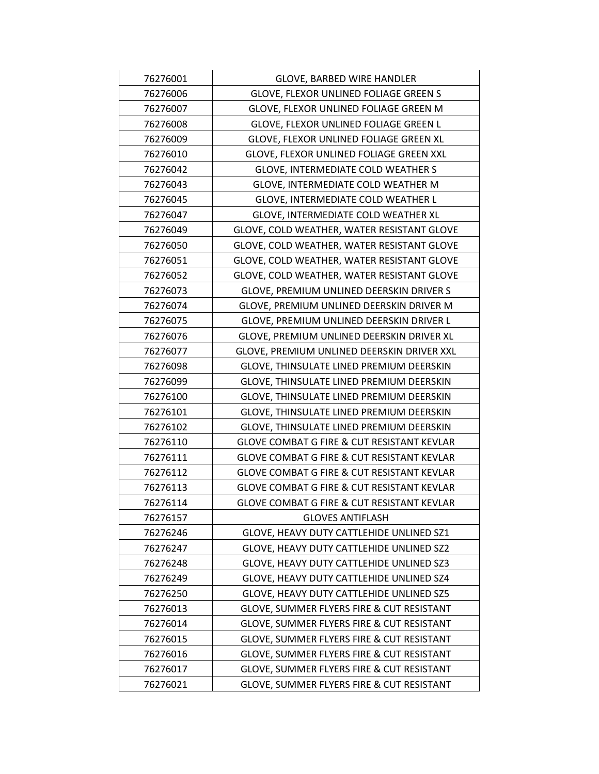| 76276001                                          | <b>GLOVE, BARBED WIRE HANDLER</b>                     |
|---------------------------------------------------|-------------------------------------------------------|
| 76276006<br>GLOVE, FLEXOR UNLINED FOLIAGE GREEN S |                                                       |
| 76276007                                          | GLOVE, FLEXOR UNLINED FOLIAGE GREEN M                 |
| 76276008                                          | GLOVE, FLEXOR UNLINED FOLIAGE GREEN L                 |
| 76276009                                          | GLOVE, FLEXOR UNLINED FOLIAGE GREEN XL                |
| 76276010                                          | GLOVE, FLEXOR UNLINED FOLIAGE GREEN XXL               |
| 76276042                                          | <b>GLOVE, INTERMEDIATE COLD WEATHER S</b>             |
| 76276043                                          | GLOVE, INTERMEDIATE COLD WEATHER M                    |
| 76276045                                          | GLOVE, INTERMEDIATE COLD WEATHER L                    |
| 76276047                                          | GLOVE, INTERMEDIATE COLD WEATHER XL                   |
| 76276049                                          | GLOVE, COLD WEATHER, WATER RESISTANT GLOVE            |
| 76276050                                          | GLOVE, COLD WEATHER, WATER RESISTANT GLOVE            |
| 76276051                                          | GLOVE, COLD WEATHER, WATER RESISTANT GLOVE            |
| 76276052                                          | GLOVE, COLD WEATHER, WATER RESISTANT GLOVE            |
| 76276073                                          | GLOVE, PREMIUM UNLINED DEERSKIN DRIVER S              |
| 76276074                                          | GLOVE, PREMIUM UNLINED DEERSKIN DRIVER M              |
| 76276075                                          | GLOVE, PREMIUM UNLINED DEERSKIN DRIVER L              |
| 76276076                                          | GLOVE, PREMIUM UNLINED DEERSKIN DRIVER XL             |
| 76276077                                          | GLOVE, PREMIUM UNLINED DEERSKIN DRIVER XXL            |
| 76276098                                          | GLOVE, THINSULATE LINED PREMIUM DEERSKIN              |
| 76276099                                          | GLOVE, THINSULATE LINED PREMIUM DEERSKIN              |
| 76276100                                          | GLOVE, THINSULATE LINED PREMIUM DEERSKIN              |
| 76276101                                          | GLOVE, THINSULATE LINED PREMIUM DEERSKIN              |
| 76276102                                          | GLOVE, THINSULATE LINED PREMIUM DEERSKIN              |
| 76276110                                          | <b>GLOVE COMBAT G FIRE &amp; CUT RESISTANT KEVLAR</b> |
| 76276111                                          | GLOVE COMBAT G FIRE & CUT RESISTANT KEVLAR            |
| 76276112                                          | GLOVE COMBAT G FIRE & CUT RESISTANT KEVLAR            |
| 76276113                                          | GLOVE COMBAT G FIRE & CUT RESISTANT KEVLAR            |
| 76276114                                          | GLOVE COMBAT G FIRE & CUT RESISTANT KEVLAR            |
| 76276157                                          | <b>GLOVES ANTIFLASH</b>                               |
| 76276246                                          | GLOVE, HEAVY DUTY CATTLEHIDE UNLINED SZ1              |
| 76276247                                          | GLOVE, HEAVY DUTY CATTLEHIDE UNLINED SZ2              |
| 76276248                                          | GLOVE, HEAVY DUTY CATTLEHIDE UNLINED SZ3              |
| 76276249                                          | GLOVE, HEAVY DUTY CATTLEHIDE UNLINED SZ4              |
| 76276250                                          | GLOVE, HEAVY DUTY CATTLEHIDE UNLINED SZ5              |
| 76276013                                          | GLOVE, SUMMER FLYERS FIRE & CUT RESISTANT             |
| 76276014                                          | GLOVE, SUMMER FLYERS FIRE & CUT RESISTANT             |
| 76276015                                          | GLOVE, SUMMER FLYERS FIRE & CUT RESISTANT             |
| 76276016                                          | GLOVE, SUMMER FLYERS FIRE & CUT RESISTANT             |
| 76276017                                          | GLOVE, SUMMER FLYERS FIRE & CUT RESISTANT             |
| 76276021                                          | GLOVE, SUMMER FLYERS FIRE & CUT RESISTANT             |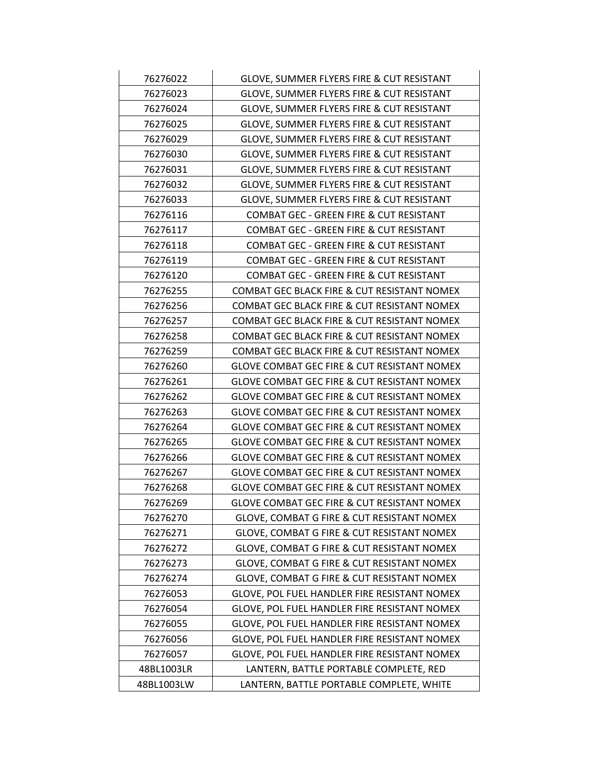| 76276022   | GLOVE, SUMMER FLYERS FIRE & CUT RESISTANT              |
|------------|--------------------------------------------------------|
| 76276023   | GLOVE, SUMMER FLYERS FIRE & CUT RESISTANT              |
| 76276024   | GLOVE, SUMMER FLYERS FIRE & CUT RESISTANT              |
| 76276025   | GLOVE, SUMMER FLYERS FIRE & CUT RESISTANT              |
| 76276029   | GLOVE, SUMMER FLYERS FIRE & CUT RESISTANT              |
| 76276030   | GLOVE, SUMMER FLYERS FIRE & CUT RESISTANT              |
| 76276031   | GLOVE, SUMMER FLYERS FIRE & CUT RESISTANT              |
| 76276032   | GLOVE, SUMMER FLYERS FIRE & CUT RESISTANT              |
| 76276033   | GLOVE, SUMMER FLYERS FIRE & CUT RESISTANT              |
| 76276116   | COMBAT GEC - GREEN FIRE & CUT RESISTANT                |
| 76276117   | COMBAT GEC - GREEN FIRE & CUT RESISTANT                |
| 76276118   | COMBAT GEC - GREEN FIRE & CUT RESISTANT                |
| 76276119   | COMBAT GEC - GREEN FIRE & CUT RESISTANT                |
| 76276120   | <b>COMBAT GEC - GREEN FIRE &amp; CUT RESISTANT</b>     |
| 76276255   | COMBAT GEC BLACK FIRE & CUT RESISTANT NOMEX            |
| 76276256   | COMBAT GEC BLACK FIRE & CUT RESISTANT NOMEX            |
| 76276257   | COMBAT GEC BLACK FIRE & CUT RESISTANT NOMEX            |
| 76276258   | COMBAT GEC BLACK FIRE & CUT RESISTANT NOMEX            |
| 76276259   | COMBAT GEC BLACK FIRE & CUT RESISTANT NOMEX            |
| 76276260   | <b>GLOVE COMBAT GEC FIRE &amp; CUT RESISTANT NOMEX</b> |
| 76276261   | <b>GLOVE COMBAT GEC FIRE &amp; CUT RESISTANT NOMEX</b> |
| 76276262   | GLOVE COMBAT GEC FIRE & CUT RESISTANT NOMEX            |
| 76276263   | <b>GLOVE COMBAT GEC FIRE &amp; CUT RESISTANT NOMEX</b> |
| 76276264   | <b>GLOVE COMBAT GEC FIRE &amp; CUT RESISTANT NOMEX</b> |
| 76276265   | <b>GLOVE COMBAT GEC FIRE &amp; CUT RESISTANT NOMEX</b> |
| 76276266   | GLOVE COMBAT GEC FIRE & CUT RESISTANT NOMEX            |
| 76276267   | <b>GLOVE COMBAT GEC FIRE &amp; CUT RESISTANT NOMEX</b> |
| 76276268   | GLOVE COMBAT GEC FIRE & CUT RESISTANT NOMEX            |
| 76276269   | GLOVE COMBAT GEC FIRE & CUT RESISTANT NOMEX            |
| 76276270   | GLOVE, COMBAT G FIRE & CUT RESISTANT NOMEX             |
| 76276271   | GLOVE, COMBAT G FIRE & CUT RESISTANT NOMEX             |
| 76276272   | GLOVE, COMBAT G FIRE & CUT RESISTANT NOMEX             |
| 76276273   | GLOVE, COMBAT G FIRE & CUT RESISTANT NOMEX             |
| 76276274   | GLOVE, COMBAT G FIRE & CUT RESISTANT NOMEX             |
| 76276053   | GLOVE, POL FUEL HANDLER FIRE RESISTANT NOMEX           |
| 76276054   | GLOVE, POL FUEL HANDLER FIRE RESISTANT NOMEX           |
| 76276055   | GLOVE, POL FUEL HANDLER FIRE RESISTANT NOMEX           |
| 76276056   | GLOVE, POL FUEL HANDLER FIRE RESISTANT NOMEX           |
| 76276057   | GLOVE, POL FUEL HANDLER FIRE RESISTANT NOMEX           |
| 48BL1003LR | LANTERN, BATTLE PORTABLE COMPLETE, RED                 |
| 48BL1003LW | LANTERN, BATTLE PORTABLE COMPLETE, WHITE               |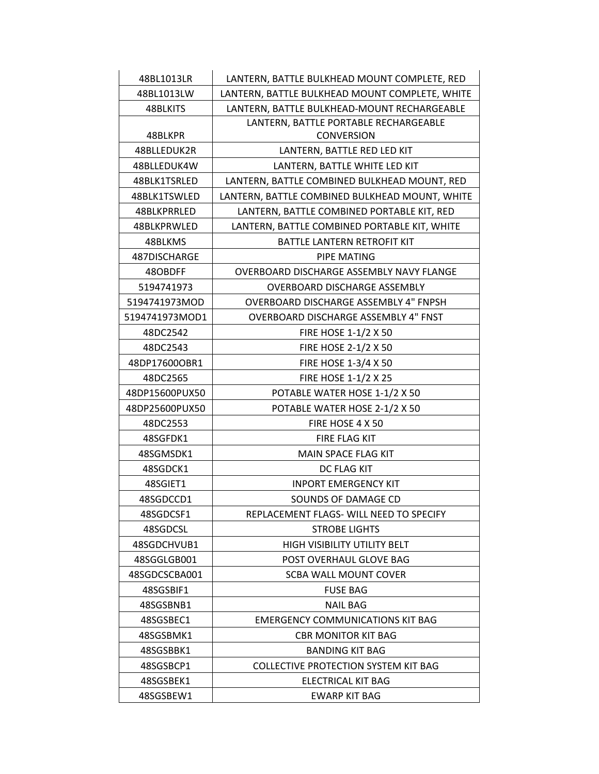| 48BL1013LR     | LANTERN, BATTLE BULKHEAD MOUNT COMPLETE, RED   |
|----------------|------------------------------------------------|
| 48BL1013LW     | LANTERN, BATTLE BULKHEAD MOUNT COMPLETE, WHITE |
| 48BLKITS       | LANTERN, BATTLE BULKHEAD-MOUNT RECHARGEABLE    |
|                | LANTERN, BATTLE PORTABLE RECHARGEABLE          |
| 48BLKPR        | <b>CONVERSION</b>                              |
| 48BLLEDUK2R    | LANTERN, BATTLE RED LED KIT                    |
| 48BLLEDUK4W    | LANTERN, BATTLE WHITE LED KIT                  |
| 48BLK1TSRLED   | LANTERN, BATTLE COMBINED BULKHEAD MOUNT, RED   |
| 48BLK1TSWLED   | LANTERN, BATTLE COMBINED BULKHEAD MOUNT, WHITE |
| 48BLKPRRLED    | LANTERN, BATTLE COMBINED PORTABLE KIT, RED     |
| 48BLKPRWLED    | LANTERN, BATTLE COMBINED PORTABLE KIT, WHITE   |
| 48BLKMS        | BATTLE LANTERN RETROFIT KIT                    |
| 487DISCHARGE   | PIPE MATING                                    |
| 48OBDFF        | OVERBOARD DISCHARGE ASSEMBLY NAVY FLANGE       |
| 5194741973     | <b>OVERBOARD DISCHARGE ASSEMBLY</b>            |
| 5194741973MOD  | OVERBOARD DISCHARGE ASSEMBLY 4" FNPSH          |
| 5194741973MOD1 | OVERBOARD DISCHARGE ASSEMBLY 4" FNST           |
| 48DC2542       | FIRE HOSE 1-1/2 X 50                           |
| 48DC2543       | FIRE HOSE 2-1/2 X 50                           |
| 48DP17600OBR1  | FIRE HOSE 1-3/4 X 50                           |
| 48DC2565       | FIRE HOSE 1-1/2 X 25                           |
| 48DP15600PUX50 | POTABLE WATER HOSE 1-1/2 X 50                  |
| 48DP25600PUX50 | POTABLE WATER HOSE 2-1/2 X 50                  |
| 48DC2553       | FIRE HOSE 4 X 50                               |
| 48SGFDK1       | FIRE FLAG KIT                                  |
| 48SGMSDK1      | MAIN SPACE FLAG KIT                            |
| 48SGDCK1       | DC FLAG KIT                                    |
| 48SGIET1       | <b>INPORT EMERGENCY KIT</b>                    |
| 48SGDCCD1      | SOUNDS OF DAMAGE CD                            |
| 48SGDCSF1      | REPLACEMENT FLAGS- WILL NEED TO SPECIFY        |
| 48SGDCSL       | <b>STROBE LIGHTS</b>                           |
| 48SGDCHVUB1    | HIGH VISIBILITY UTILITY BELT                   |
| 48SGGLGB001    | POST OVERHAUL GLOVE BAG                        |
| 48SGDCSCBA001  | SCBA WALL MOUNT COVER                          |
| 48SGSBIF1      | <b>FUSE BAG</b>                                |
| 48SGSBNB1      | <b>NAIL BAG</b>                                |
| 48SGSBEC1      | <b>EMERGENCY COMMUNICATIONS KIT BAG</b>        |
| 48SGSBMK1      | <b>CBR MONITOR KIT BAG</b>                     |
| 48SGSBBK1      | <b>BANDING KIT BAG</b>                         |
| 48SGSBCP1      | <b>COLLECTIVE PROTECTION SYSTEM KIT BAG</b>    |
| 48SGSBEK1      | ELECTRICAL KIT BAG                             |
| 48SGSBEW1      | <b>EWARP KIT BAG</b>                           |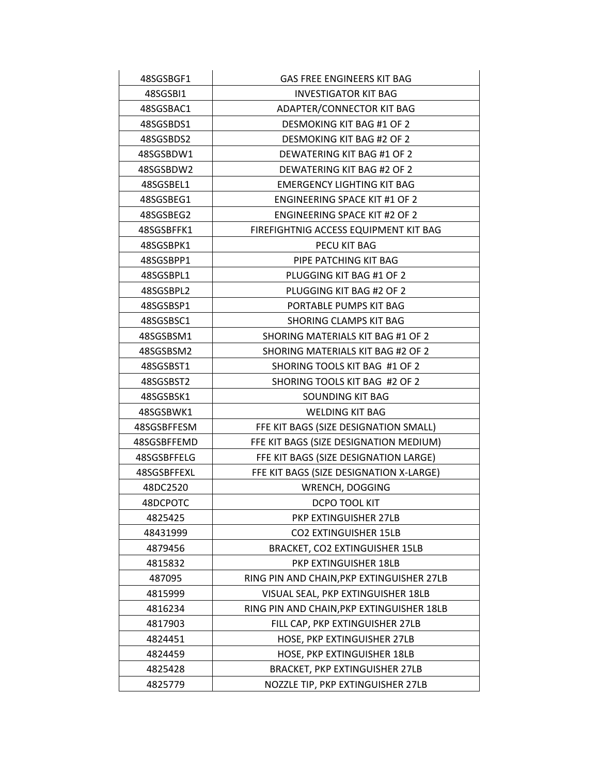| 48SGSBGF1   | <b>GAS FREE ENGINEERS KIT BAG</b>         |
|-------------|-------------------------------------------|
| 48SGSBI1    | <b>INVESTIGATOR KIT BAG</b>               |
| 48SGSBAC1   | ADAPTER/CONNECTOR KIT BAG                 |
| 48SGSBDS1   | <b>DESMOKING KIT BAG #1 OF 2</b>          |
| 48SGSBDS2   | <b>DESMOKING KIT BAG #2 OF 2</b>          |
| 48SGSBDW1   | DEWATERING KIT BAG #1 OF 2                |
| 48SGSBDW2   | DEWATERING KIT BAG #2 OF 2                |
| 48SGSBEL1   | <b>EMERGENCY LIGHTING KIT BAG</b>         |
| 48SGSBEG1   | <b>ENGINEERING SPACE KIT #1 OF 2</b>      |
| 48SGSBEG2   | <b>ENGINEERING SPACE KIT #2 OF 2</b>      |
| 48SGSBFFK1  | FIREFIGHTNIG ACCESS EQUIPMENT KIT BAG     |
| 48SGSBPK1   | PECU KIT BAG                              |
| 48SGSBPP1   | PIPE PATCHING KIT BAG                     |
| 48SGSBPL1   | PLUGGING KIT BAG #1 OF 2                  |
| 48SGSBPL2   | PLUGGING KIT BAG #2 OF 2                  |
| 48SGSBSP1   | PORTABLE PUMPS KIT BAG                    |
| 48SGSBSC1   | <b>SHORING CLAMPS KIT BAG</b>             |
| 48SGSBSM1   | SHORING MATERIALS KIT BAG #1 OF 2         |
| 48SGSBSM2   | SHORING MATERIALS KIT BAG #2 OF 2         |
| 48SGSBST1   | SHORING TOOLS KIT BAG #1 OF 2             |
| 48SGSBST2   | SHORING TOOLS KIT BAG #2 OF 2             |
| 48SGSBSK1   | <b>SOUNDING KIT BAG</b>                   |
| 48SGSBWK1   | <b>WELDING KIT BAG</b>                    |
| 48SGSBFFESM | FFE KIT BAGS (SIZE DESIGNATION SMALL)     |
| 48SGSBFFEMD | FFE KIT BAGS (SIZE DESIGNATION MEDIUM)    |
| 48SGSBFFELG | FFE KIT BAGS (SIZE DESIGNATION LARGE)     |
| 48SGSBFFEXL | FFE KIT BAGS (SIZE DESIGNATION X-LARGE)   |
| 48DC2520    | WRENCH, DOGGING                           |
| 48DCPOTC    | DCPO TOOL KIT                             |
| 4825425     | PKP EXTINGUISHER 27LB                     |
| 48431999    | <b>CO2 EXTINGUISHER 15LB</b>              |
| 4879456     | BRACKET, CO2 EXTINGUISHER 15LB            |
| 4815832     | PKP EXTINGUISHER 18LB                     |
| 487095      | RING PIN AND CHAIN, PKP EXTINGUISHER 27LB |
| 4815999     | VISUAL SEAL, PKP EXTINGUISHER 18LB        |
| 4816234     | RING PIN AND CHAIN, PKP EXTINGUISHER 18LB |
| 4817903     | FILL CAP, PKP EXTINGUISHER 27LB           |
| 4824451     | HOSE, PKP EXTINGUISHER 27LB               |
| 4824459     | HOSE, PKP EXTINGUISHER 18LB               |
| 4825428     | <b>BRACKET, PKP EXTINGUISHER 27LB</b>     |
| 4825779     | NOZZLE TIP, PKP EXTINGUISHER 27LB         |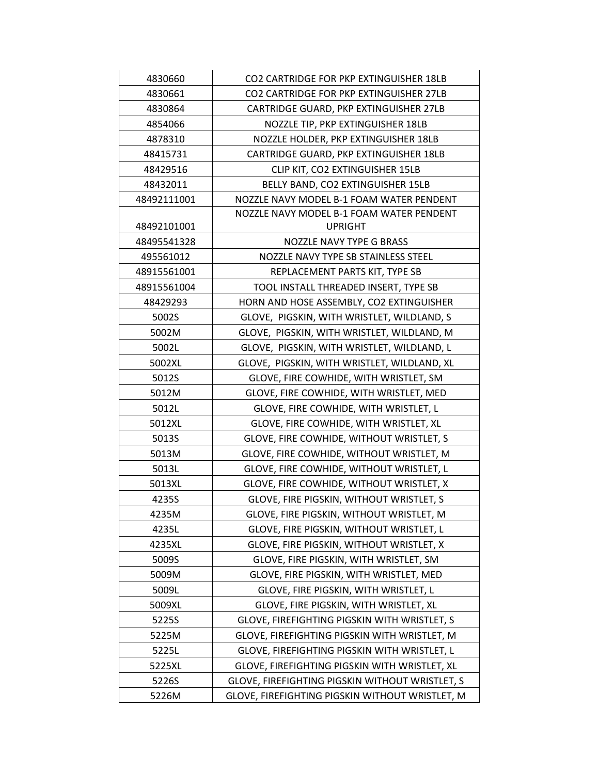| 4830660     | CO2 CARTRIDGE FOR PKP EXTINGUISHER 18LB         |
|-------------|-------------------------------------------------|
| 4830661     | CO2 CARTRIDGE FOR PKP EXTINGUISHER 27LB         |
| 4830864     | CARTRIDGE GUARD, PKP EXTINGUISHER 27LB          |
| 4854066     | NOZZLE TIP, PKP EXTINGUISHER 18LB               |
| 4878310     | NOZZLE HOLDER, PKP EXTINGUISHER 18LB            |
| 48415731    | CARTRIDGE GUARD, PKP EXTINGUISHER 18LB          |
| 48429516    | CLIP KIT, CO2 EXTINGUISHER 15LB                 |
| 48432011    | BELLY BAND, CO2 EXTINGUISHER 15LB               |
| 48492111001 | NOZZLE NAVY MODEL B-1 FOAM WATER PENDENT        |
|             | NOZZLE NAVY MODEL B-1 FOAM WATER PENDENT        |
| 48492101001 | <b>UPRIGHT</b>                                  |
| 48495541328 | NOZZLE NAVY TYPE G BRASS                        |
| 495561012   | NOZZLE NAVY TYPE SB STAINLESS STEEL             |
| 48915561001 | REPLACEMENT PARTS KIT, TYPE SB                  |
| 48915561004 | TOOL INSTALL THREADED INSERT, TYPE SB           |
| 48429293    | HORN AND HOSE ASSEMBLY, CO2 EXTINGUISHER        |
| 5002S       | GLOVE, PIGSKIN, WITH WRISTLET, WILDLAND, S      |
| 5002M       | GLOVE, PIGSKIN, WITH WRISTLET, WILDLAND, M      |
| 5002L       | GLOVE, PIGSKIN, WITH WRISTLET, WILDLAND, L      |
| 5002XL      | GLOVE, PIGSKIN, WITH WRISTLET, WILDLAND, XL     |
| 5012S       | GLOVE, FIRE COWHIDE, WITH WRISTLET, SM          |
| 5012M       | GLOVE, FIRE COWHIDE, WITH WRISTLET, MED         |
| 5012L       | GLOVE, FIRE COWHIDE, WITH WRISTLET, L           |
| 5012XL      | GLOVE, FIRE COWHIDE, WITH WRISTLET, XL          |
| 5013S       | GLOVE, FIRE COWHIDE, WITHOUT WRISTLET, S        |
| 5013M       | GLOVE, FIRE COWHIDE, WITHOUT WRISTLET, M        |
| 5013L       | GLOVE, FIRE COWHIDE, WITHOUT WRISTLET, L        |
| 5013XL      | GLOVE, FIRE COWHIDE, WITHOUT WRISTLET, X        |
| 4235S       | GLOVE, FIRE PIGSKIN, WITHOUT WRISTLET, S        |
| 4235M       | GLOVE, FIRE PIGSKIN, WITHOUT WRISTLET, M        |
| 4235L       | GLOVE, FIRE PIGSKIN, WITHOUT WRISTLET, L        |
| 4235XL      | GLOVE, FIRE PIGSKIN, WITHOUT WRISTLET, X        |
| 5009S       | GLOVE, FIRE PIGSKIN, WITH WRISTLET, SM          |
| 5009M       | GLOVE, FIRE PIGSKIN, WITH WRISTLET, MED         |
| 5009L       | GLOVE, FIRE PIGSKIN, WITH WRISTLET, L           |
| 5009XL      | GLOVE, FIRE PIGSKIN, WITH WRISTLET, XL          |
| 5225S       | GLOVE, FIREFIGHTING PIGSKIN WITH WRISTLET, S    |
| 5225M       | GLOVE, FIREFIGHTING PIGSKIN WITH WRISTLET, M    |
| 5225L       | GLOVE, FIREFIGHTING PIGSKIN WITH WRISTLET, L    |
| 5225XL      | GLOVE, FIREFIGHTING PIGSKIN WITH WRISTLET, XL   |
| 5226S       | GLOVE, FIREFIGHTING PIGSKIN WITHOUT WRISTLET, S |
| 5226M       | GLOVE, FIREFIGHTING PIGSKIN WITHOUT WRISTLET, M |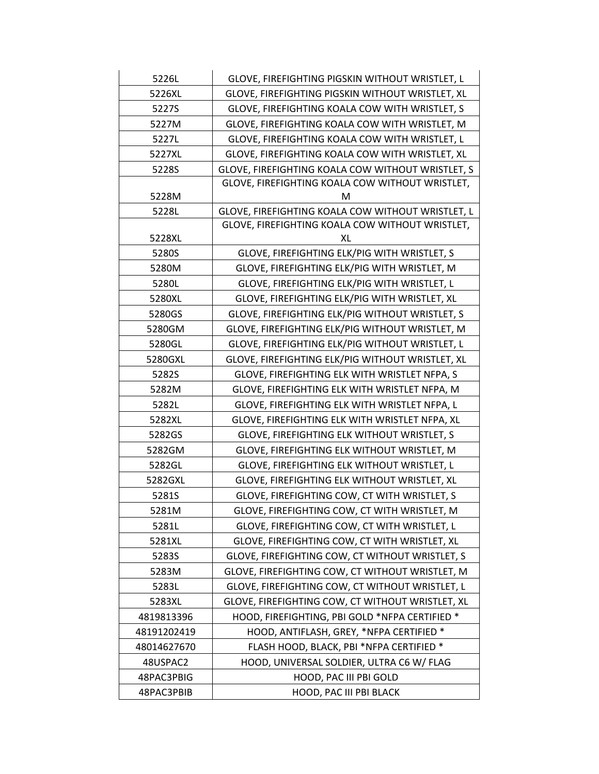| 5226L       | GLOVE, FIREFIGHTING PIGSKIN WITHOUT WRISTLET, L   |
|-------------|---------------------------------------------------|
| 5226XL      | GLOVE, FIREFIGHTING PIGSKIN WITHOUT WRISTLET, XL  |
| 5227S       | GLOVE, FIREFIGHTING KOALA COW WITH WRISTLET, S    |
| 5227M       | GLOVE, FIREFIGHTING KOALA COW WITH WRISTLET, M    |
| 5227L       | GLOVE, FIREFIGHTING KOALA COW WITH WRISTLET, L    |
| 5227XL      | GLOVE, FIREFIGHTING KOALA COW WITH WRISTLET, XL   |
| 5228S       | GLOVE, FIREFIGHTING KOALA COW WITHOUT WRISTLET, S |
|             | GLOVE, FIREFIGHTING KOALA COW WITHOUT WRISTLET,   |
| 5228M       | м                                                 |
| 5228L       | GLOVE, FIREFIGHTING KOALA COW WITHOUT WRISTLET, L |
|             | GLOVE, FIREFIGHTING KOALA COW WITHOUT WRISTLET,   |
| 5228XL      | XL                                                |
| 5280S       | GLOVE, FIREFIGHTING ELK/PIG WITH WRISTLET, S      |
| 5280M       | GLOVE, FIREFIGHTING ELK/PIG WITH WRISTLET, M      |
| 5280L       | GLOVE, FIREFIGHTING ELK/PIG WITH WRISTLET, L      |
| 5280XL      | GLOVE, FIREFIGHTING ELK/PIG WITH WRISTLET, XL     |
| 5280GS      | GLOVE, FIREFIGHTING ELK/PIG WITHOUT WRISTLET, S   |
| 5280GM      | GLOVE, FIREFIGHTING ELK/PIG WITHOUT WRISTLET, M   |
| 5280GL      | GLOVE, FIREFIGHTING ELK/PIG WITHOUT WRISTLET, L   |
| 5280GXL     | GLOVE, FIREFIGHTING ELK/PIG WITHOUT WRISTLET, XL  |
| 5282S       | GLOVE, FIREFIGHTING ELK WITH WRISTLET NFPA, S     |
| 5282M       | GLOVE, FIREFIGHTING ELK WITH WRISTLET NFPA, M     |
| 5282L       | GLOVE, FIREFIGHTING ELK WITH WRISTLET NFPA, L     |
| 5282XL      | GLOVE, FIREFIGHTING ELK WITH WRISTLET NFPA, XL    |
| 5282GS      | GLOVE, FIREFIGHTING ELK WITHOUT WRISTLET, S       |
| 5282GM      | GLOVE, FIREFIGHTING ELK WITHOUT WRISTLET, M       |
| 5282GL      | GLOVE, FIREFIGHTING ELK WITHOUT WRISTLET, L       |
| 5282GXL     | GLOVE, FIREFIGHTING ELK WITHOUT WRISTLET, XL      |
| 5281S       | GLOVE, FIREFIGHTING COW, CT WITH WRISTLET, S      |
| 5281M       | GLOVE, FIREFIGHTING COW, CT WITH WRISTLET, M      |
| 5281L       | GLOVE, FIREFIGHTING COW, CT WITH WRISTLET, L      |
| 5281XL      | GLOVE, FIREFIGHTING COW, CT WITH WRISTLET, XL     |
| 5283S       | GLOVE, FIREFIGHTING COW, CT WITHOUT WRISTLET, S   |
| 5283M       | GLOVE, FIREFIGHTING COW, CT WITHOUT WRISTLET, M   |
| 5283L       | GLOVE, FIREFIGHTING COW, CT WITHOUT WRISTLET, L   |
| 5283XL      | GLOVE, FIREFIGHTING COW, CT WITHOUT WRISTLET, XL  |
| 4819813396  | HOOD, FIREFIGHTING, PBI GOLD *NFPA CERTIFIED *    |
| 48191202419 | HOOD, ANTIFLASH, GREY, *NFPA CERTIFIED *          |
| 48014627670 | FLASH HOOD, BLACK, PBI *NFPA CERTIFIED *          |
| 48USPAC2    | HOOD, UNIVERSAL SOLDIER, ULTRA C6 W/ FLAG         |
| 48PAC3PBIG  | HOOD, PAC III PBI GOLD                            |
| 48PAC3PBIB  | HOOD, PAC III PBI BLACK                           |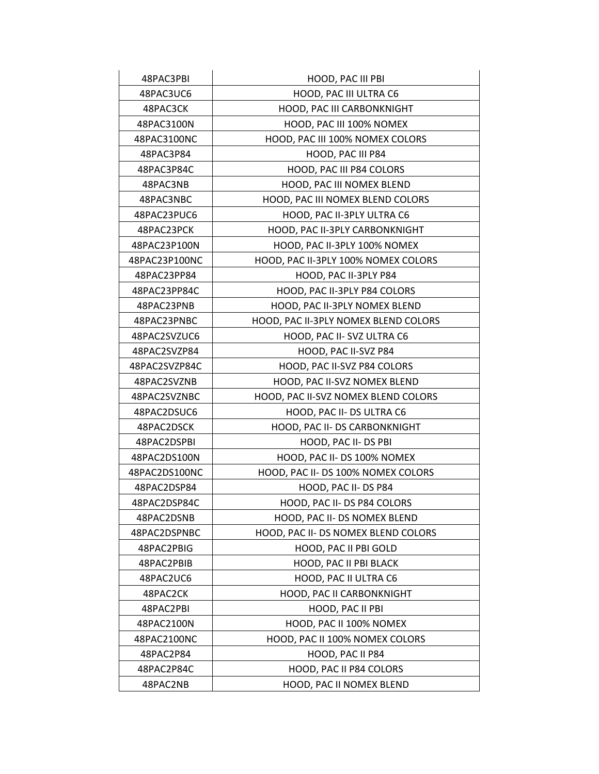| 48PAC3PBI     | HOOD, PAC III PBI                    |
|---------------|--------------------------------------|
| 48PAC3UC6     | HOOD, PAC III ULTRA C6               |
| 48PAC3CK      | HOOD, PAC III CARBONKNIGHT           |
| 48PAC3100N    | HOOD, PAC III 100% NOMEX             |
| 48PAC3100NC   | HOOD, PAC III 100% NOMEX COLORS      |
| 48PAC3P84     | HOOD, PAC III P84                    |
| 48PAC3P84C    | HOOD, PAC III P84 COLORS             |
| 48PAC3NB      | HOOD, PAC III NOMEX BLEND            |
| 48PAC3NBC     | HOOD, PAC III NOMEX BLEND COLORS     |
| 48PAC23PUC6   | HOOD, PAC II-3PLY ULTRA C6           |
| 48PAC23PCK    | HOOD, PAC II-3PLY CARBONKNIGHT       |
| 48PAC23P100N  | HOOD, PAC II-3PLY 100% NOMEX         |
| 48PAC23P100NC | HOOD, PAC II-3PLY 100% NOMEX COLORS  |
| 48PAC23PP84   | HOOD, PAC II-3PLY P84                |
| 48PAC23PP84C  | HOOD, PAC II-3PLY P84 COLORS         |
| 48PAC23PNB    | HOOD, PAC II-3PLY NOMEX BLEND        |
| 48PAC23PNBC   | HOOD, PAC II-3PLY NOMEX BLEND COLORS |
| 48PAC2SVZUC6  | HOOD, PAC II- SVZ ULTRA C6           |
| 48PAC2SVZP84  | HOOD, PAC II-SVZ P84                 |
| 48PAC2SVZP84C | HOOD, PAC II-SVZ P84 COLORS          |
| 48PAC2SVZNB   | HOOD, PAC II-SVZ NOMEX BLEND         |
| 48PAC2SVZNBC  | HOOD, PAC II-SVZ NOMEX BLEND COLORS  |
| 48PAC2DSUC6   | HOOD, PAC II- DS ULTRA C6            |
| 48PAC2DSCK    | HOOD, PAC II- DS CARBONKNIGHT        |
| 48PAC2DSPBI   | HOOD, PAC II- DS PBI                 |
| 48PAC2DS100N  | HOOD, PAC II- DS 100% NOMEX          |
| 48PAC2DS100NC | HOOD, PAC II- DS 100% NOMEX COLORS   |
| 48PAC2DSP84   | HOOD, PAC II-DS P84                  |
| 48PAC2DSP84C  | HOOD, PAC II- DS P84 COLORS          |
| 48PAC2DSNB    | HOOD, PAC II- DS NOMEX BLEND         |
| 48PAC2DSPNBC  | HOOD, PAC II- DS NOMEX BLEND COLORS  |
| 48PAC2PBIG    | HOOD, PAC II PBI GOLD                |
| 48PAC2PBIB    | HOOD, PAC II PBI BLACK               |
| 48PAC2UC6     | HOOD, PAC II ULTRA C6                |
| 48PAC2CK      | HOOD, PAC II CARBONKNIGHT            |
| 48PAC2PBI     | HOOD, PAC II PBI                     |
| 48PAC2100N    | HOOD, PAC II 100% NOMEX              |
| 48PAC2100NC   | HOOD, PAC II 100% NOMEX COLORS       |
| 48PAC2P84     | HOOD, PAC II P84                     |
| 48PAC2P84C    | HOOD, PAC II P84 COLORS              |
| 48PAC2NB      | HOOD, PAC II NOMEX BLEND             |